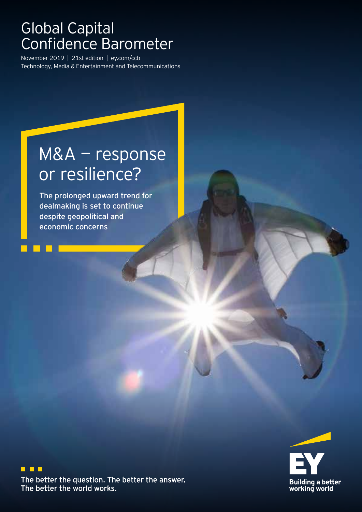## Global Capital Confidence Barometer

November 2019 | 21st edition | ey.com/ccb Technology, Media & Entertainment and Telecommunications

## M&A — response or resilience?

The prolonged upward trend for dealmaking is set to continue despite geopolitical and economic concerns



 $\blacksquare$ The better the question. The better the answer. The better the world works.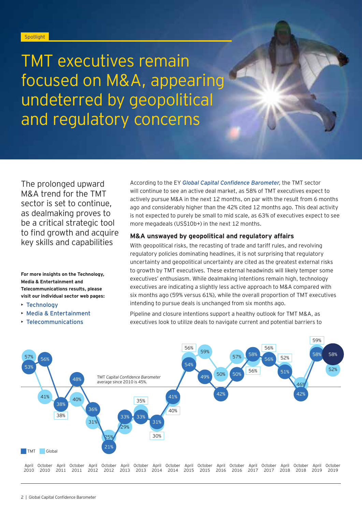#### **Spotlight**

TMT executives remain focused on M&A, appearing undeterred by geopolitical and regulatory concerns

The prolonged upward M&A trend for the TMT sector is set to continue, as dealmaking proves to be a critical strategic tool to find growth and acquire key skills and capabilities

**For more insights on the Technology, Media & Entertainment and Telecommunications results, please visit our individual sector web pages:**

- [Technology](https://www.ey.com/en_gl/technology)
- [Media & Entertainment](https://www.ey.com/en_gl/media-entertainment)
- [Telecommunications](https://www.ey.com/en_gl/telecommunications)

According to the EY *[Global Capital Confidence Barometer](https://assets.ey.com/content/dam/ey-sites/ey-com/en_gl/topics/ey-capital-confidence-barometer/ccb-21/pdf/ey-global-capital-confidence-barometer-edition-21.pdf)*, the TMT sector will continue to see an active deal market, as 58% of TMT executives expect to actively pursue M&A in the next 12 months, on par with the result from 6 months ago and considerably higher than the 42% cited 12 months ago. This deal activity is not expected to purely be small to mid scale, as 63% of executives expect to see more megadeals (US\$10b+) in the next 12 months.

#### **M&A unswayed by geopolitical and regulatory affairs**

With geopolitical risks, the recasting of trade and tariff rules, and revolving regulatory policies dominating headlines, it is not surprising that regulatory uncertainty and geopolitical uncertainty are cited as the greatest external risks to growth by TMT executives. These external headwinds will likely temper some executives' enthusiasm. While dealmaking intentions remain high, technology executives are indicating a slightly less active approach to M&A compared with six months ago (59% versus 61%), while the overall proportion of TMT executives intending to pursue deals is unchanged from six months ago.

Pipeline and closure intentions support a healthy outlook for TMT M&A, as executives look to utilize deals to navigate current and potential barriers to

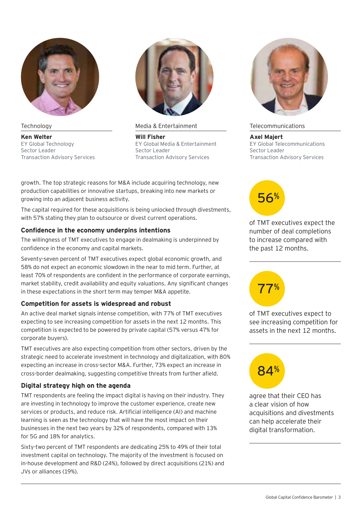

**Technology** 

**Ken Welter** EY Global Technology Sector Leader Transaction Advisory Services



Media & Entertainment

**Will Fisher** EY Global Media & Entertainment Sector Leader Transaction Advisory Services

growth. The top strategic reasons for M&A include acquiring technology, new production capabilities or innovative startups, breaking into new markets or growing into an adjacent business activity.

The capital required for these acquisitions is being unlocked through divestments, with 57% stating they plan to outsource or divest current operations.

#### **Confidence in the economy underpins intentions**

The willingness of TMT executives to engage in dealmaking is underpinned by confidence in the economy and capital markets.

Seventy-seven percent of TMT executives expect global economic growth, and 58% do not expect an economic slowdown in the near to mid term. Further, at least 70% of respondents are confident in the performance of corporate earnings, market stability, credit availability and equity valuations. Any significant changes in these expectations in the short term may temper M&A appetite.

#### **Competition for assets is widespread and robust**

An active deal market signals intense competition, with 77% of TMT executives expecting to see increasing competition for assets in the next 12 months. This competition is expected to be powered by private capital (57% versus 47% for corporate buyers).

TMT executives are also expecting competition from other sectors, driven by the strategic need to accelerate investment in technology and digitalization, with 80% expecting an increase in cross-sector M&A. Further, 73% expect an increase in cross-border dealmaking, suggesting competitive threats from further afield.

#### **Digital strategy high on the agenda**

TMT respondents are feeling the impact digital is having on their industry. They are investing in technology to improve the customer experience, create new services or products, and reduce risk. Artificial intelligence (AI) and machine learning is seen as the technology that will have the most impact on their businesses in the next two years by 32% of respondents, compared with 13% for 5G and 18% for analytics.

Sixty-two percent of TMT respondents are dedicating 25% to 49% of their total investment capital on technology. The majority of the investment is focused on in-house development and R&D (24%), followed by direct acquisitions (21%) and JVs or alliances (19%).



#### Telecommunications

**Axel Majert** EY Global Telecommunications Sector Leader Transaction Advisory Services



of TMT executives expect the number of deal completions to increase compared with the past 12 months.



of TMT executives expect to see increasing competition for assets in the next 12 months.



agree that their CEO has a clear vision of how acquisitions and divestments can help accelerate their digital transformation.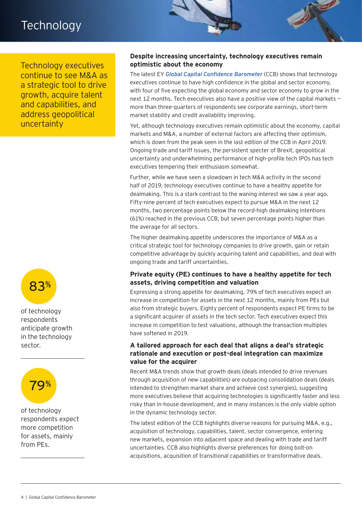### **Technology**

Technology executives continue to see M&A as a strategic tool to drive growth, acquire talent and capabilities, and address geopolitical uncertainty



of technology respondents anticipate growth in the technology sector.



of technology respondents expect more competition for assets, mainly from PEs.

#### **Despite increasing uncertainty, technology executives remain optimistic about the economy**

The latest EY *[Global Capital Confidence Barometer](https://assets.ey.com/content/dam/ey-sites/ey-com/en_gl/topics/ey-capital-confidence-barometer/ccb-21/pdf/ey-global-capital-confidence-barometer-edition-21.pdf)* (CCB) shows that technology executives continue to have high confidence in the global and sector economy, with four of five expecting the global economy and sector economy to grow in the next 12 months. Tech executives also have a positive view of the capital markets more than three-quarters of respondents see corporate earnings, short-term market stability and credit availability improving.

Yet, although technology executives remain optimistic about the economy, capital markets and M&A, a number of external factors are affecting their optimism, which is down from the peak seen in the last edition of the CCB in April 2019. Ongoing trade and tariff issues, the persistent specter of Brexit, geopolitical uncertainty and underwhelming performance of high-profile tech IPOs has tech executives tempering their enthusiasm somewhat.

Further, while we have seen a slowdown in tech M&A activity in the second half of 2019, technology executives continue to have a healthy appetite for dealmaking. This is a stark contrast to the waning interest we saw a year ago. Fifty-nine percent of tech executives expect to pursue M&A in the next 12 months, two percentage points below the record-high dealmaking intentions (61%) reached in the previous CCB, but seven percentage points higher than the average for all sectors.

The higher dealmaking appetite underscores the importance of M&A as a critical strategic tool for technology companies to drive growth, gain or retain competitive advantage by quickly acquiring talent and capabilities, and deal with ongoing trade and tariff uncertainties.

#### **Private equity (PE) continues to have a healthy appetite for tech assets, driving competition and valuation**

Expressing a strong appetite for dealmaking, 79% of tech executives expect an increase in competition for assets in the next 12 months, mainly from PEs but also from strategic buyers. Eighty percent of respondents expect PE firms to be a significant acquirer of assets in the tech sector. Tech executives expect this increase in competition to test valuations, although the transaction multiples have softened in 2019.

#### **A tailored approach for each deal that aligns a deal's strategic rationale and execution or post-deal integration can maximize value for the acquirer**

Recent M&A trends show that growth deals (deals intended to drive revenues through acquisition of new capabilities) are outpacing consolidation deals (deals intended to strengthen market share and achieve cost synergies), suggesting more executives believe that acquiring technologies is significantly faster and less risky than in-house development, and in many instances is the only viable option in the dynamic technology sector.

The latest edition of the CCB highlights diverse reasons for pursuing M&A, e.g., acquisition of technology, capabilities, talent, sector convergence, entering new markets, expansion into adjacent space and dealing with trade and tariff uncertainties. CCB also highlights diverse preferences for doing bolt-on acquisitions, acquisition of transitional capabilities or transformative deals.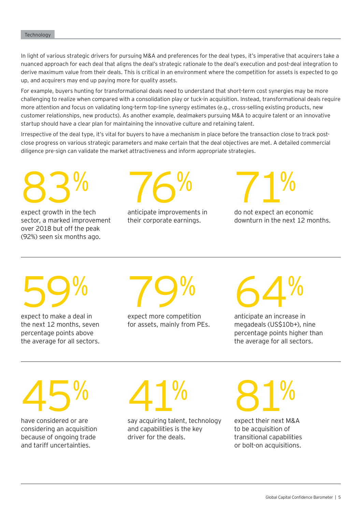In light of various strategic drivers for pursuing M&A and preferences for the deal types, it's imperative that acquirers take a nuanced approach for each deal that aligns the deal's strategic rationale to the deal's execution and post-deal integration to derive maximum value from their deals. This is critical in an environment where the competition for assets is expected to go up, and acquirers may end up paying more for quality assets.

For example, buyers hunting for transformational deals need to understand that short-term cost synergies may be more challenging to realize when compared with a consolidation play or tuck-in acquisition. Instead, transformational deals require more attention and focus on validating long-term top-line synergy estimates (e.g., cross-selling existing products, new customer relationships, new products). As another example, dealmakers pursuing M&A to acquire talent or an innovative startup should have a clear plan for maintaining the innovative culture and retaining talent.

Irrespective of the deal type, it's vital for buyers to have a mechanism in place before the transaction close to track postclose progress on various strategic parameters and make certain that the deal objectives are met. A detailed commercial diligence pre-sign can validate the market attractiveness and inform appropriate strategies.

83%

expect growth in the tech sector, a marked improvement over 2018 but off the peak (92%) seen six months ago.



anticipate improvements in their corporate earnings.

71%

do not expect an economic downturn in the next 12 months.

59%

expect to make a deal in the next 12 months, seven percentage points above the average for all sectors.

79%

expect more competition for assets, mainly from PEs. 64%

anticipate an increase in megadeals (US\$10b+), nine percentage points higher than the average for all sectors.

45%

have considered or are considering an acquisition because of ongoing trade and tariff uncertainties.



say acquiring talent, technology and capabilities is the key driver for the deals.

81%

expect their next M&A to be acquisition of transitional capabilities or bolt-on acquisitions.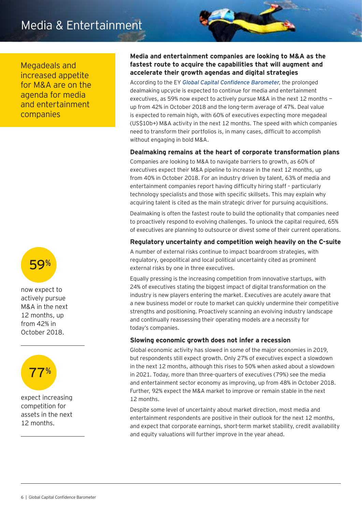## Media & Entertainment

Megadeals and increased appetite for M&A are on the agenda for media and entertainment companies



now expect to actively pursue M&A in the next 12 months, up from 42% in October 2018.



expect increasing competition for assets in the next 12 months.

#### **Media and entertainment companies are looking to M&A as the fastest route to acquire the capabilities that will augment and accelerate their growth agendas and digital strategies**

According to the EY *[Global Capital Confidence Barometer](https://assets.ey.com/content/dam/ey-sites/ey-com/en_gl/topics/ey-capital-confidence-barometer/ccb-21/pdf/ey-global-capital-confidence-barometer-edition-21.pdf)*, the prolonged dealmaking upcycle is expected to continue for media and entertainment executives, as 59% now expect to actively pursue M&A in the next 12 months up from 42% in October 2018 and the long-term average of 47%. Deal value is expected to remain high, with 60% of executives expecting more megadeal (US\$10b+) M&A activity in the next 12 months. The speed with which companies need to transform their portfolios is, in many cases, difficult to accomplish without engaging in bold M&A.

#### **Dealmaking remains at the heart of corporate transformation plans**

Companies are looking to M&A to navigate barriers to growth, as 60% of executives expect their M&A pipeline to increase in the next 12 months, up from 40% in October 2018. For an industry driven by talent, 63% of media and entertainment companies report having difficulty hiring staff – particularly technology specialists and those with specific skillsets. This may explain why acquiring talent is cited as the main strategic driver for pursuing acquisitions.

Dealmaking is often the fastest route to build the optionality that companies need to proactively respond to evolving challenges. To unlock the capital required, 65% of executives are planning to outsource or divest some of their current operations.

#### **Regulatory uncertainty and competition weigh heavily on the C-suite**

A number of external risks continue to impact boardroom strategies, with regulatory, geopolitical and local political uncertainty cited as prominent external risks by one in three executives.

Equally pressing is the increasing competition from innovative startups, with 24% of executives stating the biggest impact of digital transformation on the industry is new players entering the market. Executives are acutely aware that a new business model or route to market can quickly undermine their competitive strengths and positioning. Proactively scanning an evolving industry landscape and continually reassessing their operating models are a necessity for today's companies.

#### **Slowing economic growth does not infer a recession**

Global economic activity has slowed in some of the major economies in 2019, but respondents still expect growth. Only 27% of executives expect a slowdown in the next 12 months, although this rises to 50% when asked about a slowdown in 2021. Today, more than three-quarters of executives (79%) see the media and entertainment sector economy as improving, up from 48% in October 2018. Further, 92% expect the M&A market to improve or remain stable in the next 12 months.

Despite some level of uncertainty about market direction, most media and entertainment respondents are positive in their outlook for the next 12 months, and expect that corporate earnings, short-term market stability, credit availability and equity valuations will further improve in the year ahead.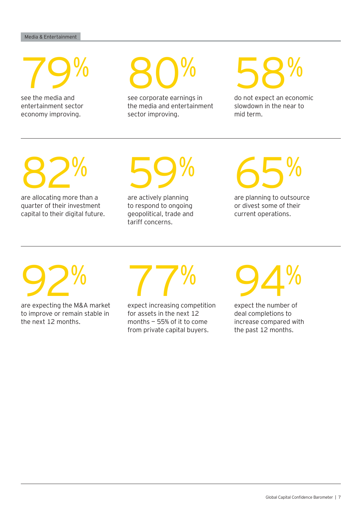79%

see the media and entertainment sector economy improving.

80%

see corporate earnings in the media and entertainment sector improving.

58%

do not expect an economic slowdown in the near to mid term.

82%

are allocating more than a quarter of their investment capital to their digital future.

59%

are actively planning to respond to ongoing geopolitical, trade and tariff concerns.

65%

are planning to outsource or divest some of their current operations.

92%

are expecting the M&A market to improve or remain stable in the next 12 months.

77%

expect increasing competition for assets in the next 12 months — 55% of it to come from private capital buyers.

94%

expect the number of deal completions to increase compared with the past 12 months.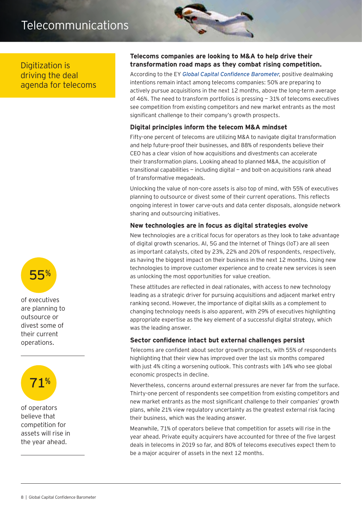## Telecommunications

Digitization is driving the deal agenda for telecoms



of executives are planning to outsource or divest some of their current operations.



of operators believe that competition for assets will rise in the year ahead.

#### **Telecoms companies are looking to M&A to help drive their transformation road maps as they combat rising competition.**

According to the EY *[Global Capital Confidence Barometer](https://assets.ey.com/content/dam/ey-sites/ey-com/en_gl/topics/ey-capital-confidence-barometer/ccb-21/pdf/ey-global-capital-confidence-barometer-edition-21.pdf)*, positive dealmaking intentions remain intact among telecoms companies: 50% are preparing to actively pursue acquisitions in the next 12 months, above the long-term average of 46%. The need to transform portfolios is pressing — 31% of telecoms executives see competition from existing competitors and new market entrants as the most significant challenge to their company's growth prospects.

#### **Digital principles inform the telecom M&A mindset**

Fifty-one percent of telecoms are utilizing M&A to navigate digital transformation and help future-proof their businesses, and 88% of respondents believe their CEO has a clear vision of how acquisitions and divestments can accelerate their transformation plans. Looking ahead to planned M&A, the acquisition of transitional capabilities — including digital — and bolt-on acquisitions rank ahead of transformative megadeals.

Unlocking the value of non-core assets is also top of mind, with 55% of executives planning to outsource or divest some of their current operations. This reflects ongoing interest in tower carve-outs and data center disposals, alongside network sharing and outsourcing initiatives.

#### **New technologies are in focus as digital strategies evolve**

New technologies are a critical focus for operators as they look to take advantage of digital growth scenarios. AI, 5G and the Internet of Things (IoT) are all seen as important catalysts, cited by 23%, 22% and 20% of respondents, respectively, as having the biggest impact on their business in the next 12 months. Using new technologies to improve customer experience and to create new services is seen as unlocking the most opportunities for value creation.

These attitudes are reflected in deal rationales, with access to new technology leading as a strategic driver for pursuing acquisitions and adjacent market entry ranking second. However, the importance of digital skills as a complement to changing technology needs is also apparent, with 29% of executives highlighting appropriate expertise as the key element of a successful digital strategy, which was the leading answer.

#### **Sector confidence intact but external challenges persist**

Telecoms are confident about sector growth prospects, with 55% of respondents highlighting that their view has improved over the last six months compared with just 4% citing a worsening outlook. This contrasts with 14% who see global economic prospects in decline.

Nevertheless, concerns around external pressures are never far from the surface. Thirty-one percent of respondents see competition from existing competitors and new market entrants as the most significant challenge to their companies' growth plans, while 21% view regulatory uncertainty as the greatest external risk facing their business, which was the leading answer.

Meanwhile, 71% of operators believe that competition for assets will rise in the year ahead. Private equity acquirers have accounted for three of the five largest deals in telecoms in 2019 so far, and 80% of telecoms executives expect them to be a major acquirer of assets in the next 12 months.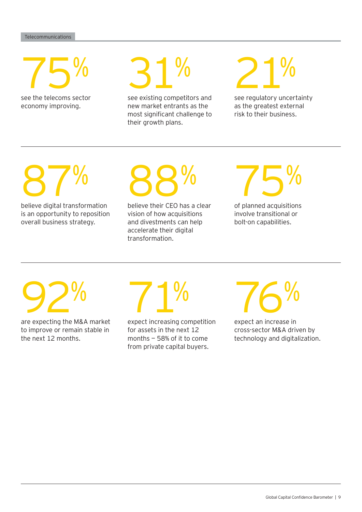75%

see the telecoms sector economy improving.



see existing competitors and new market entrants as the most significant challenge to their growth plans.



see regulatory uncertainty as the greatest external risk to their business.

87%

believe digital transformation is an opportunity to reposition overall business strategy.

# 88%

believe their CEO has a clear vision of how acquisitions and divestments can help accelerate their digital transformation.



of planned acquisitions involve transitional or bolt-on capabilities.

# 92%

are expecting the M&A market to improve or remain stable in the next 12 months.

71%

expect increasing competition for assets in the next 12 months — 58% of it to come from private capital buyers.

76%

expect an increase in cross-sector M&A driven by technology and digitalization.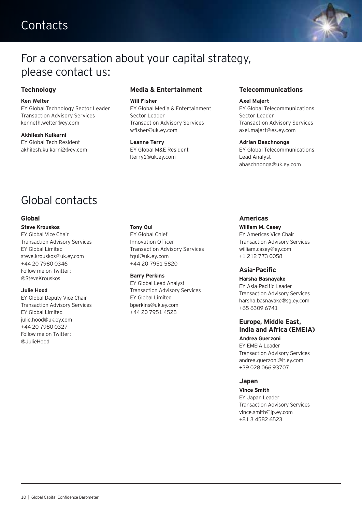## **Contacts**



### For a conversation about your capital strategy, please contact us:

#### **Technology**

#### **Ken Welter**

EY Global Technology Sector Leader Transaction Advisory Services kenneth.welter@ey.com

**Akhilesh Kulkarni**

EY Global Tech Resident akhilesh.kulkarni2@ey.com

#### **Media & Entertainment**

#### **Will Fisher**

EY Global Media & Entertainment Sector Leader Transaction Advisory Services wfisher@uk.ey.com

**Leanne Terry** EY Global M&E Resident lterry1@uk.ey.com

#### **Telecommunications**

#### **Axel Majert**

EY Global Telecommunications Sector Leader Transaction Advisory Services axel.majert@es.ey.com

#### **Adrian Baschnonga**

EY Global Telecommunications Lead Analyst abaschnonga@uk.ey.com

## Global contacts

#### **Global**

#### **Steve Krouskos**

EY Global Vice Chair Transaction Advisory Services EY Global Limited steve.krouskos@uk.ey.com +44 20 7980 0346 Follow me on Twitter: @SteveKrouskos

#### **Julie Hood**

EY Global Deputy Vice Chair Transaction Advisory Services EY Global Limited julie.hood@uk.ey.com +44 20 7980 0327 Follow me on Twitter: @JulieHood

#### **Tony Qui**

EY Global Chief Innovation Officer Transaction Advisory Services tqui@uk.ey.com +44 20 7951 5820

#### **Barry Perkins**

EY Global Lead Analyst Transaction Advisory Services EY Global Limited bperkins@uk.ey.com +44 20 7951 4528

#### **Americas**

#### **William M. Casey**

EY Americas Vice Chair Transaction Advisory Services william.casey@ey.com +1 212 773 0058

#### **Asia-Pacific**

#### **Harsha Basnayake**

EY Asia-Pacific Leader Transaction Advisory Services harsha.basnayake@sg.ey.com +65 6309 6741

#### **Europe, Middle East, India and Africa (EMEIA) Andrea Guerzoni**

EY EMEIA Leader Transaction Advisory Services andrea.guerzoni@it.ey.com +39 028 066 93707

#### **Japan**

**Vince Smith** EY Japan Leader Transaction Advisory Services vince.smith@jp.ey.com +81 3 4582 6523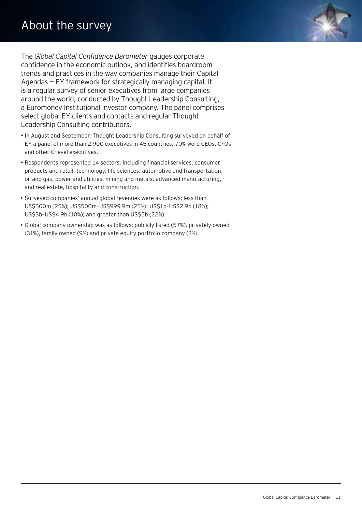The *Global Capital Confidence Barometer* gauges corporate confidence in the economic outlook, and identifies boardroom trends and practices in the way companies manage their Capital Agendas — EY framework for strategically managing capital. It is a regular survey of senior executives from large companies around the world, conducted by Thought Leadership Consulting, a Euromoney Institutional Investor company. The panel comprises select global EY clients and contacts and regular Thought Leadership Consulting contributors.

- In August and September, Thought Leadership Consulting surveyed on behalf of EY a panel of more than 2,900 executives in 45 countries; 70% were CEOs, CFOs and other C-level executives.
- Respondents represented 14 sectors, including financial services, consumer products and retail, technology, life sciences, automotive and transportation, oil and gas, power and utilities, mining and metals, advanced manufacturing, and real estate, hospitality and construction.
- Surveyed companies' annual global revenues were as follows: less than US\$500m (25%); US\$500m–US\$999.9m (25%); US\$1b–US\$2.9b (18%); US\$3b–US\$4.9b (10%); and greater than US\$5b (22%).
- Global company ownership was as follows: publicly listed (57%), privately owned (31%), family owned (9%) and private equity portfolio company (3%).